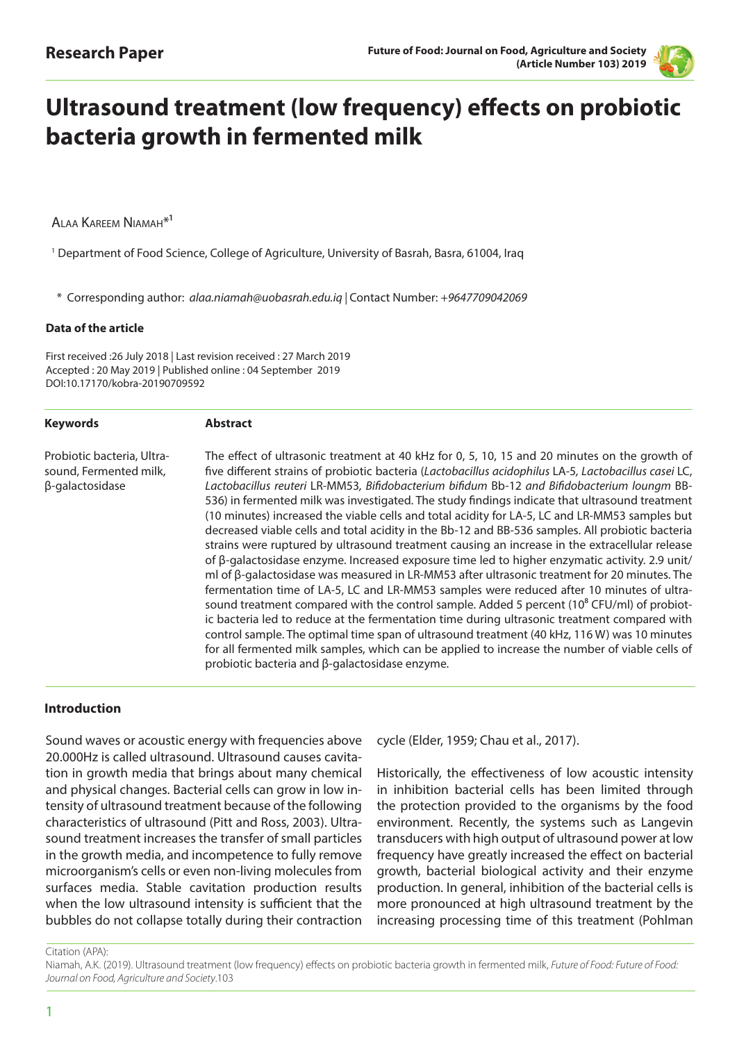

# **Ultrasound treatment (low frequency) effects on probiotic bacteria growth in fermented milk**

ALAA KAREEM NIAMAH<sup>\*1</sup>

1 Department of Food Science, College of Agriculture, University of Basrah, Basra, 61004, Iraq

\* Corresponding author: *alaa.niamah@uobasrah.edu.iq |* Contact Number: *+9647709042069* 

#### **Data of the article**

First received :26 July 2018 | Last revision received : 27 March 2019 Accepted : 20 May 2019 | Published online : 04 September 2019 DOI:10.17170/kobra-20190709592

#### **Keywords**

#### **Abstract**

Probiotic bacteria, Ultrasound, Fermented milk, β-galactosidase

The effect of ultrasonic treatment at 40 kHz for 0, 5, 10, 15 and 20 minutes on the growth of five different strains of probiotic bacteria (*Lactobacillus acidophilus* LA-5*, Lactobacillus casei* LC, *Lactobacillus reuteri* LR-MM53*, Bifidobacterium bifidum* Bb-12 *and Bifidobacterium loungm* BB-536) in fermented milk was investigated. The study findings indicate that ultrasound treatment (10 minutes) increased the viable cells and total acidity for LA-5, LC and LR-MM53 samples but decreased viable cells and total acidity in the Bb-12 and BB-536 samples. All probiotic bacteria strains were ruptured by ultrasound treatment causing an increase in the extracellular release of β-galactosidase enzyme. Increased exposure time led to higher enzymatic activity. 2.9 unit/ ml of β-galactosidase was measured in LR-MM53 after ultrasonic treatment for 20 minutes. The fermentation time of LA-5, LC and LR-MM53 samples were reduced after 10 minutes of ultrasound treatment compared with the control sample. Added 5 percent  $(10<sup>8</sup>$  CFU/ml) of probiotic bacteria led to reduce at the fermentation time during ultrasonic treatment compared with control sample. The optimal time span of ultrasound treatment (40 kHz, 116 W) was 10 minutes for all fermented milk samples, which can be applied to increase the number of viable cells of probiotic bacteria and β-galactosidase enzyme.

#### **Introduction**

Sound waves or acoustic energy with frequencies above 20.000Hz is called ultrasound. Ultrasound causes cavitation in growth media that brings about many chemical and physical changes. Bacterial cells can grow in low intensity of ultrasound treatment because of the following characteristics of ultrasound (Pitt and Ross, 2003). Ultrasound treatment increases the transfer of small particles in the growth media, and incompetence to fully remove microorganism's cells or even non-living molecules from surfaces media. Stable cavitation production results when the low ultrasound intensity is sufficient that the bubbles do not collapse totally during their contraction

cycle (Elder, 1959; Chau et al., 2017).

Historically, the effectiveness of low acoustic intensity in inhibition bacterial cells has been limited through the protection provided to the organisms by the food environment. Recently, the systems such as Langevin transducers with high output of ultrasound power at low frequency have greatly increased the effect on bacterial growth, bacterial biological activity and their enzyme production. In general, inhibition of the bacterial cells is more pronounced at high ultrasound treatment by the increasing processing time of this treatment (Pohlman

Citation (APA):

Niamah, A.K. (2019). Ultrasound treatment (low frequency) effects on probiotic bacteria growth in fermented milk, *Future of Food: Future of Food: Journal on Food, Agriculture and Society*.103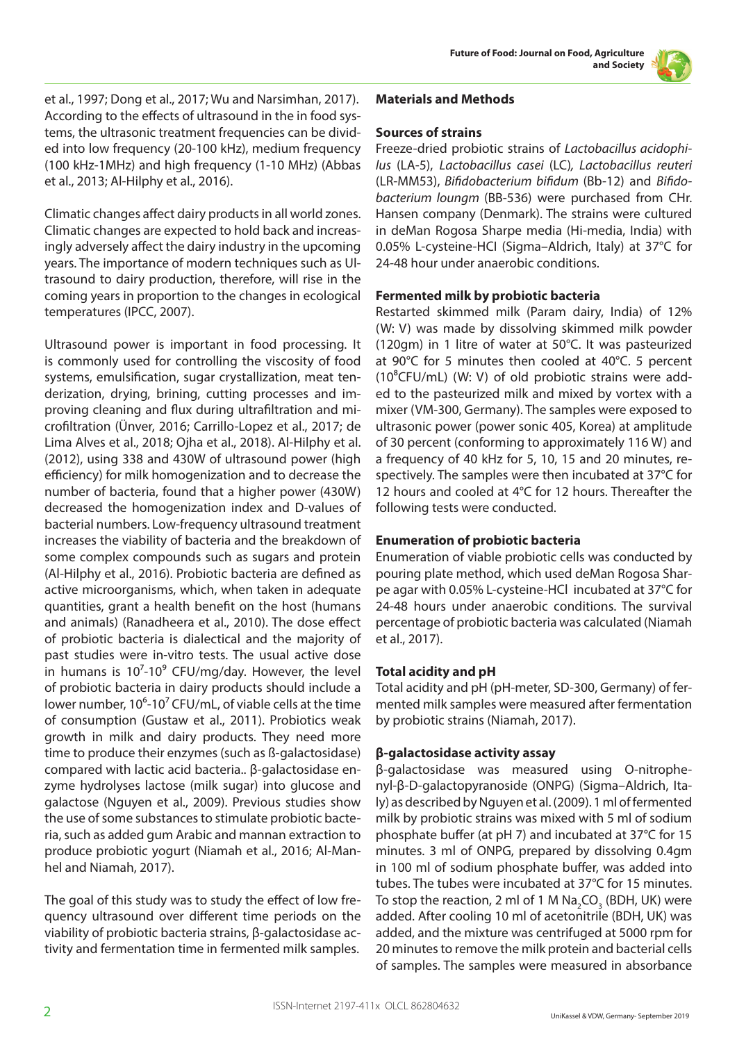

et al., 1997; Dong et al., 2017; Wu and Narsimhan, 2017). According to the effects of ultrasound in the in food systems, the ultrasonic treatment frequencies can be divided into low frequency (20-100 kHz), medium frequency (100 kHz-1MHz) and high frequency (1-10 MHz) (Abbas et al., 2013; Al-Hilphy et al., 2016).

Climatic changes affect dairy products in all world zones. Climatic changes are expected to hold back and increasingly adversely affect the dairy industry in the upcoming years. The importance of modern techniques such as Ultrasound to dairy production, therefore, will rise in the coming years in proportion to the changes in ecological temperatures (IPCC, 2007).

Ultrasound power is important in food processing. It is commonly used for controlling the viscosity of food systems, emulsification, sugar crystallization, meat tenderization, drying, brining, cutting processes and improving cleaning and flux during ultrafiltration and microfiltration (Ünver, 2016; Carrillo-Lopez et al., 2017; de Lima Alves et al., 2018; Ojha et al., 2018). Al-Hilphy et al. (2012), using 338 and 430W of ultrasound power (high efficiency) for milk homogenization and to decrease the number of bacteria, found that a higher power (430W) decreased the homogenization index and D-values of bacterial numbers. Low-frequency ultrasound treatment increases the viability of bacteria and the breakdown of some complex compounds such as sugars and protein (Al-Hilphy et al., 2016). Probiotic bacteria are defined as active microorganisms, which, when taken in adequate quantities, grant a health benefit on the host (humans and animals) (Ranadheera et al., 2010). The dose effect of probiotic bacteria is dialectical and the majority of past studies were in-vitro tests. The usual active dose in humans is  $10^{7}$ -10 $^{9}$  CFU/mg/day. However, the level of probiotic bacteria in dairy products should include a lower number,  $10^6$ -10<sup>7</sup> CFU/mL, of viable cells at the time of consumption (Gustaw et al., 2011). Probiotics weak growth in milk and dairy products. They need more time to produce their enzymes (such as ß-galactosidase) compared with lactic acid bacteria.. β-galactosidase enzyme hydrolyses lactose (milk sugar) into glucose and galactose (Nguyen et al., 2009). Previous studies show the use of some substances to stimulate probiotic bacteria, such as added gum Arabic and mannan extraction to produce probiotic yogurt (Niamah et al., 2016; Al-Manhel and Niamah, 2017).

The goal of this study was to study the effect of low frequency ultrasound over different time periods on the viability of probiotic bacteria strains, β-galactosidase activity and fermentation time in fermented milk samples.

# **Materials and Methods**

### **Sources of strains**

Freeze-dried probiotic strains of *Lactobacillus acidophilus* (LA-5), *Lactobacillus casei* (LC)*, Lactobacillus reuteri*  (LR-MM53), *Bifidobacterium bifidum* (Bb-12) and *Bifidobacterium loungm* (BB-536) were purchased from CHr. Hansen company (Denmark). The strains were cultured in deMan Rogosa Sharpe media (Hi-media, India) with 0.05% L-cysteine-HCI (Sigma–Aldrich, Italy) at 37°C for 24-48 hour under anaerobic conditions.

#### **Fermented milk by probiotic bacteria**

Restarted skimmed milk (Param dairy, India) of 12% (W: V) was made by dissolving skimmed milk powder (120gm) in 1 litre of water at 50°C. It was pasteurized at 90°C for 5 minutes then cooled at 40°C. 5 percent ( $10<sup>8</sup>CFU/mL$ ) (W: V) of old probiotic strains were added to the pasteurized milk and mixed by vortex with a mixer (VM-300, Germany). The samples were exposed to ultrasonic power (power sonic 405, Korea) at amplitude of 30 percent (conforming to approximately 116 W) and a frequency of 40 kHz for 5, 10, 15 and 20 minutes, respectively. The samples were then incubated at 37°C for 12 hours and cooled at 4°C for 12 hours. Thereafter the following tests were conducted.

# **Enumeration of probiotic bacteria**

Enumeration of viable probiotic cells was conducted by pouring plate method, which used deMan Rogosa Sharpe agar with 0.05% L-cysteine-HCl incubated at 37°C for 24-48 hours under anaerobic conditions. The survival percentage of probiotic bacteria was calculated (Niamah et al., 2017).

# **Total acidity and pH**

Total acidity and pH (pH-meter, SD-300, Germany) of fermented milk samples were measured after fermentation by probiotic strains (Niamah, 2017).

# **β-galactosidase activity assay**

β-galactosidase was measured using O-nitrophenyl-β-D-galactopyranoside (ONPG) (Sigma–Aldrich, Italy) as described by Nguyen et al. (2009). 1 ml of fermented milk by probiotic strains was mixed with 5 ml of sodium phosphate buffer (at pH 7) and incubated at 37°C for 15 minutes. 3 ml of ONPG, prepared by dissolving 0.4gm in 100 ml of sodium phosphate buffer, was added into tubes. The tubes were incubated at 37°C for 15 minutes. To stop the reaction, 2 ml of 1 M Na<sub>2</sub>CO<sub>3</sub> (BDH, UK) were added. After cooling 10 ml of acetonitrile (BDH, UK) was added, and the mixture was centrifuged at 5000 rpm for 20 minutes to remove the milk protein and bacterial cells of samples. The samples were measured in absorbance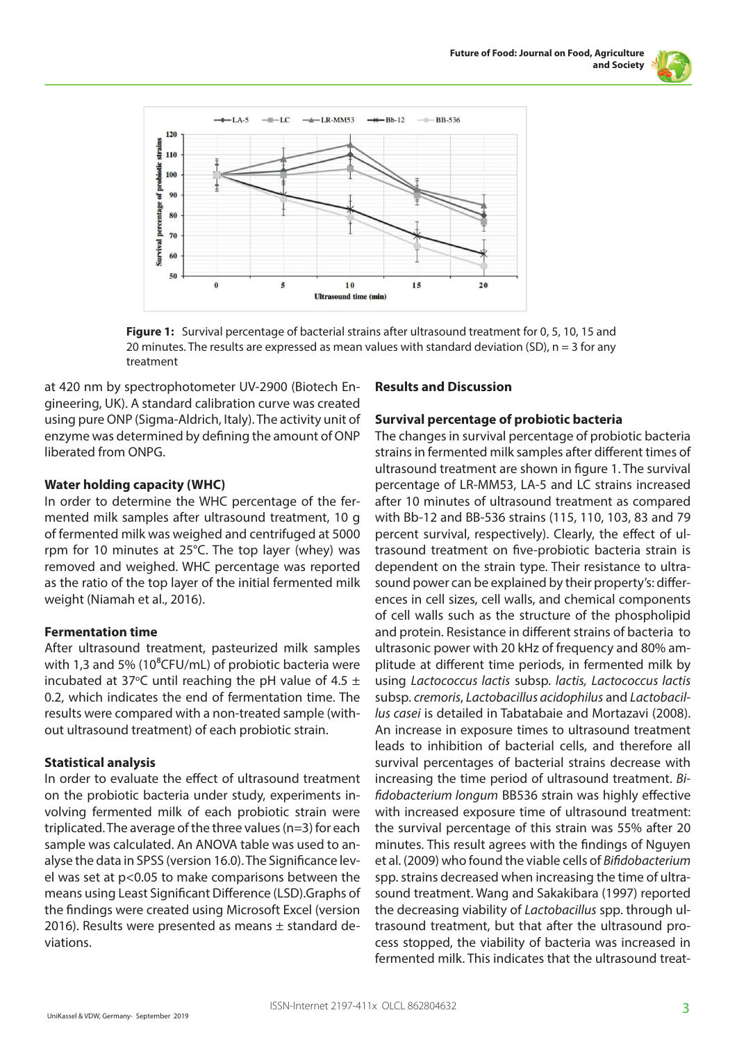



**Figure 1:** Survival percentage of bacterial strains after ultrasound treatment for 0, 5, 10, 15 and 20 minutes. The results are expressed as mean values with standard deviation (SD),  $n = 3$  for any treatment

at 420 nm by spectrophotometer UV-2900 (Biotech Engineering, UK). A standard calibration curve was created using pure ONP (Sigma-Aldrich, Italy). The activity unit of enzyme was determined by defining the amount of ONP liberated from ONPG.

#### **Water holding capacity (WHC)**

In order to determine the WHC percentage of the fermented milk samples after ultrasound treatment, 10 g of fermented milk was weighed and centrifuged at 5000 rpm for 10 minutes at 25°C. The top layer (whey) was removed and weighed. WHC percentage was reported as the ratio of the top layer of the initial fermented milk weight (Niamah et al., 2016).

# **Fermentation time**

After ultrasound treatment, pasteurized milk samples with 1,3 and 5% (10 $^8$ CFU/mL) of probiotic bacteria were incubated at 37 $\degree$ C until reaching the pH value of 4.5  $\pm$ 0.2, which indicates the end of fermentation time. The results were compared with a non-treated sample (without ultrasound treatment) of each probiotic strain.

# **Statistical analysis**

In order to evaluate the effect of ultrasound treatment on the probiotic bacteria under study, experiments involving fermented milk of each probiotic strain were triplicated. The average of the three values (n=3) for each sample was calculated. An ANOVA table was used to analyse the data in SPSS (version 16.0). The Significance level was set at p<0.05 to make comparisons between the means using Least Significant Difference (LSD).Graphs of the findings were created using Microsoft Excel (version 2016). Results were presented as means  $\pm$  standard deviations.

### **Results and Discussion**

#### **Survival percentage of probiotic bacteria**

The changes in survival percentage of probiotic bacteria strains in fermented milk samples after different times of ultrasound treatment are shown in figure 1. The survival percentage of LR-MM53, LA-5 and LC strains increased after 10 minutes of ultrasound treatment as compared with Bb-12 and BB-536 strains (115, 110, 103, 83 and 79 percent survival, respectively). Clearly, the effect of ultrasound treatment on five-probiotic bacteria strain is dependent on the strain type. Their resistance to ultrasound power can be explained by their property's: differences in cell sizes, cell walls, and chemical components of cell walls such as the structure of the phospholipid and protein. Resistance in different strains of bacteria to ultrasonic power with 20 kHz of frequency and 80% amplitude at different time periods, in fermented milk by using *Lactococcus lactis* subsp. *lactis, Lactococcus lactis* subsp. *cremoris*, *Lactobacillus acidophilus* and *Lactobacillus casei* is detailed in Tabatabaie and Mortazavi (2008). An increase in exposure times to ultrasound treatment leads to inhibition of bacterial cells, and therefore all survival percentages of bacterial strains decrease with increasing the time period of ultrasound treatment. *Bifidobacterium longum* BB536 strain was highly effective with increased exposure time of ultrasound treatment: the survival percentage of this strain was 55% after 20 minutes. This result agrees with the findings of Nguyen et al. (2009) who found the viable cells of *Bifidobacterium* spp. strains decreased when increasing the time of ultrasound treatment. Wang and Sakakibara (1997) reported the decreasing viability of *Lactobacillus* spp. through ultrasound treatment, but that after the ultrasound process stopped, the viability of bacteria was increased in fermented milk. This indicates that the ultrasound treat-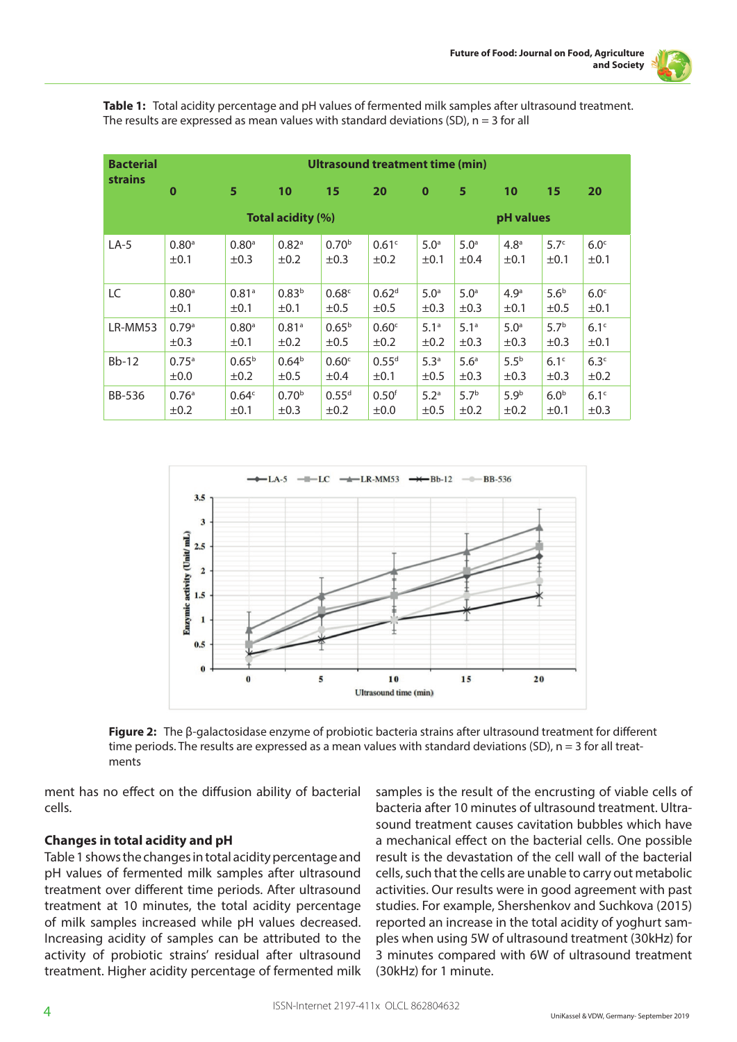

**Table 1:** Total acidity percentage and pH values of fermented milk samples after ultrasound treatment. The results are expressed as mean values with standard deviations  $(SD)$ ,  $n = 3$  for all

| <b>Bacterial</b> | Ultrasound treatment time (min) |                   |                     |                   |                   |                  |                  |                  |                  |                  |  |
|------------------|---------------------------------|-------------------|---------------------|-------------------|-------------------|------------------|------------------|------------------|------------------|------------------|--|
| <b>strains</b>   | $\bf{0}$                        | 5                 | 10                  | 15                | 20                | $\mathbf 0$      | 5                | 10               | 15               | 20               |  |
|                  | <b>Total acidity (%)</b>        |                   |                     |                   |                   |                  |                  | pH values        |                  |                  |  |
| $LA-5$           | 0.80 <sup>a</sup>               | 0.80 <sup>a</sup> | $0.82$ <sup>a</sup> | 0.70 <sup>b</sup> | 0.61 <sup>c</sup> | 5.0 <sup>a</sup> | 5.0 <sup>a</sup> | 4.8 <sup>a</sup> | 5.7 <sup>c</sup> | 6.0 <sup>c</sup> |  |
|                  | ±0.1                            | $\pm 0.3$         | ±0.2                | $\pm 0.3$         | $\pm 0.2$         | ±0.1             | ±0.4             | $\pm 0.1$        | $\pm 0.1$        | ±0.1             |  |
| LC               | 0.80 <sup>a</sup>               | 0.81a             | 0.83 <sup>b</sup>   | 0.68 <sup>c</sup> | 0.62 <sup>d</sup> | 5.0 <sup>a</sup> | 5.0 <sup>a</sup> | 4.9 <sup>a</sup> | 5.6 <sup>b</sup> | 6.0 <sup>c</sup> |  |
|                  | ±0.1                            | $\pm 0.1$         | $\pm 0.1$           | $\pm 0.5$         | $\pm 0.5$         | $\pm 0.3$        | $\pm 0.3$        | $\pm 0.1$        | $\pm 0.5$        | $\pm 0.1$        |  |
| LR-MM53          | 0.79a                           | 0.80 <sup>a</sup> | 0.81 <sup>a</sup>   | $0.65^{b}$        | 0.60 <sup>c</sup> | 5.1 <sup>a</sup> | 5.1 <sup>a</sup> | 5.0 <sup>a</sup> | 5.7 <sup>b</sup> | 6.1 <sup>c</sup> |  |
|                  | ±0.3                            | ±0.1              | ±0.2                | ±0.5              | ±0.2              | ±0.2             | ±0.3             | ±0.3             | $\pm 0.3$        | ±0.1             |  |
| $Bb-12$          | 0.75 <sup>a</sup>               | $0.65^{b}$        | 0.64 <sup>b</sup>   | 0.60 <sup>c</sup> | 0.55 <sup>d</sup> | 5.3 <sup>a</sup> | 5.6 <sup>a</sup> | 5.5 <sup>b</sup> | 6.1 <sup>c</sup> | 6.3 <sup>c</sup> |  |
|                  | ±0.0                            | ±0.2              | ±0.5                | ±0.4              | ±0.1              | ±0.5             | ±0.3             | ±0.3             | ±0.3             | ±0.2             |  |
| <b>BB-536</b>    | 0.76 <sup>a</sup>               | 0.64 <sup>c</sup> | 0.70 <sup>b</sup>   | $0.55^{d}$        | 0.50 <sup>f</sup> | 5.2 <sup>a</sup> | 5.7 <sup>b</sup> | 5.9 <sup>b</sup> | 6.0 <sup>b</sup> | 6.1 <sup>c</sup> |  |
|                  | $\pm 0.2$                       | $\pm 0.1$         | $\pm 0.3$           | $\pm 0.2$         | $\pm 0.0$         | $\pm 0.5$        | $\pm 0.2$        | $\pm 0.2$        | $\pm 0.1$        | $\pm 0.3$        |  |



**Figure 2:** The β-galactosidase enzyme of probiotic bacteria strains after ultrasound treatment for different time periods. The results are expressed as a mean values with standard deviations (SD), n = 3 for all treatments

ment has no effect on the diffusion ability of bacterial cells.

# **Changes in total acidity and pH**

Table 1 shows the changes in total acidity percentage and pH values of fermented milk samples after ultrasound treatment over different time periods. After ultrasound treatment at 10 minutes, the total acidity percentage of milk samples increased while pH values decreased. Increasing acidity of samples can be attributed to the activity of probiotic strains' residual after ultrasound treatment. Higher acidity percentage of fermented milk samples is the result of the encrusting of viable cells of bacteria after 10 minutes of ultrasound treatment. Ultrasound treatment causes cavitation bubbles which have a mechanical effect on the bacterial cells. One possible result is the devastation of the cell wall of the bacterial cells, such that the cells are unable to carry out metabolic activities. Our results were in good agreement with past studies. For example, Shershenkov and Suchkova (2015) reported an increase in the total acidity of yoghurt samples when using 5W of ultrasound treatment (30kHz) for 3 minutes compared with 6W of ultrasound treatment (30kHz) for 1 minute.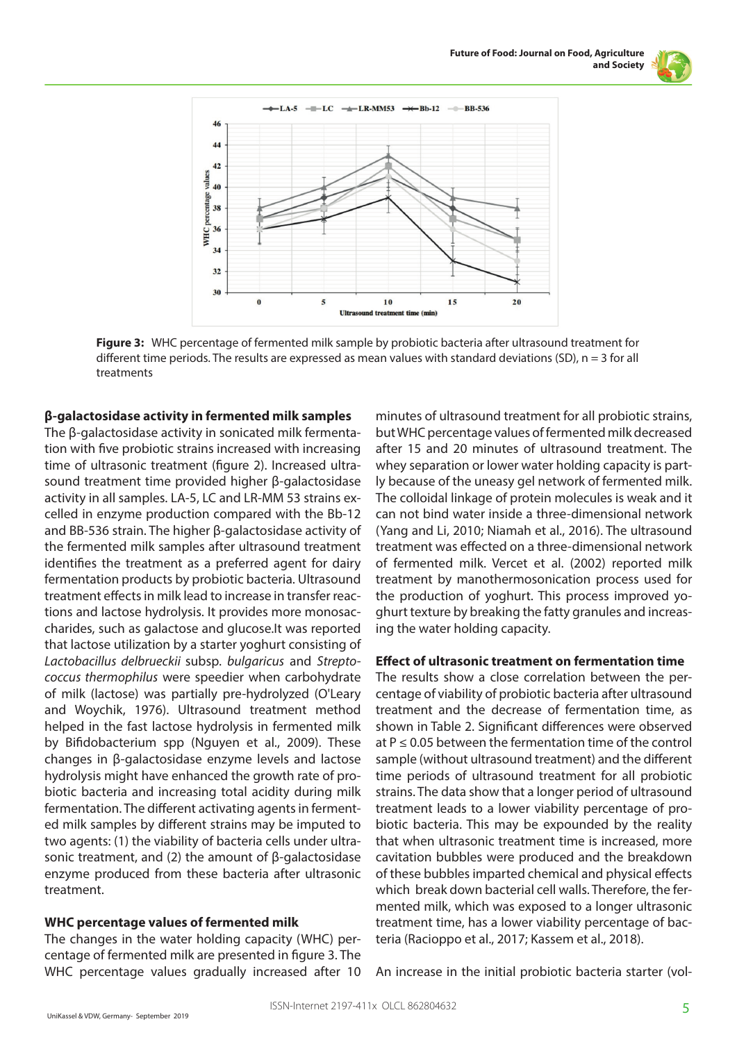



**Figure 3:** WHC percentage of fermented milk sample by probiotic bacteria after ultrasound treatment for different time periods. The results are expressed as mean values with standard deviations (SD), n = 3 for all treatments

#### **β-galactosidase activity in fermented milk samples**

The β-galactosidase activity in sonicated milk fermentation with five probiotic strains increased with increasing time of ultrasonic treatment (figure 2). Increased ultrasound treatment time provided higher β-galactosidase activity in all samples. LA-5, LC and LR-MM 53 strains excelled in enzyme production compared with the Bb-12 and BB-536 strain. The higher β-galactosidase activity of the fermented milk samples after ultrasound treatment identifies the treatment as a preferred agent for dairy fermentation products by probiotic bacteria. Ultrasound treatment effects in milk lead to increase in transfer reactions and lactose hydrolysis. It provides more monosaccharides, such as galactose and glucose.It was reported that lactose utilization by a starter yoghurt consisting of *Lactobacillus delbrueckii* subsp. *bulgaricus* and *Streptococcus thermophilus* were speedier when carbohydrate of milk (lactose) was partially pre-hydrolyzed (O'Leary and Woychik, 1976). Ultrasound treatment method helped in the fast lactose hydrolysis in fermented milk by Bifidobacterium spp (Nguyen et al., 2009). These changes in β-galactosidase enzyme levels and lactose hydrolysis might have enhanced the growth rate of probiotic bacteria and increasing total acidity during milk fermentation. The different activating agents in fermented milk samples by different strains may be imputed to two agents: (1) the viability of bacteria cells under ultrasonic treatment, and (2) the amount of β-galactosidase enzyme produced from these bacteria after ultrasonic treatment.

#### **WHC percentage values of fermented milk**

The changes in the water holding capacity (WHC) percentage of fermented milk are presented in figure 3. The WHC percentage values gradually increased after 10 minutes of ultrasound treatment for all probiotic strains, but WHC percentage values of fermented milk decreased after 15 and 20 minutes of ultrasound treatment. The whey separation or lower water holding capacity is partly because of the uneasy gel network of fermented milk. The colloidal linkage of protein molecules is weak and it can not bind water inside a three-dimensional network (Yang and Li, 2010; Niamah et al., 2016). The ultrasound treatment was effected on a three-dimensional network of fermented milk. Vercet et al. (2002) reported milk treatment by manothermosonication process used for the production of yoghurt. This process improved yoghurt texture by breaking the fatty granules and increasing the water holding capacity.

#### **Effect of ultrasonic treatment on fermentation time**

The results show a close correlation between the percentage of viability of probiotic bacteria after ultrasound treatment and the decrease of fermentation time, as shown in Table 2. Significant differences were observed at  $P \le 0.05$  between the fermentation time of the control sample (without ultrasound treatment) and the different time periods of ultrasound treatment for all probiotic strains. The data show that a longer period of ultrasound treatment leads to a lower viability percentage of probiotic bacteria. This may be expounded by the reality that when ultrasonic treatment time is increased, more cavitation bubbles were produced and the breakdown of these bubbles imparted chemical and physical effects which break down bacterial cell walls. Therefore, the fermented milk, which was exposed to a longer ultrasonic treatment time, has a lower viability percentage of bacteria (Racioppo et al., 2017; Kassem et al., 2018).

An increase in the initial probiotic bacteria starter (vol-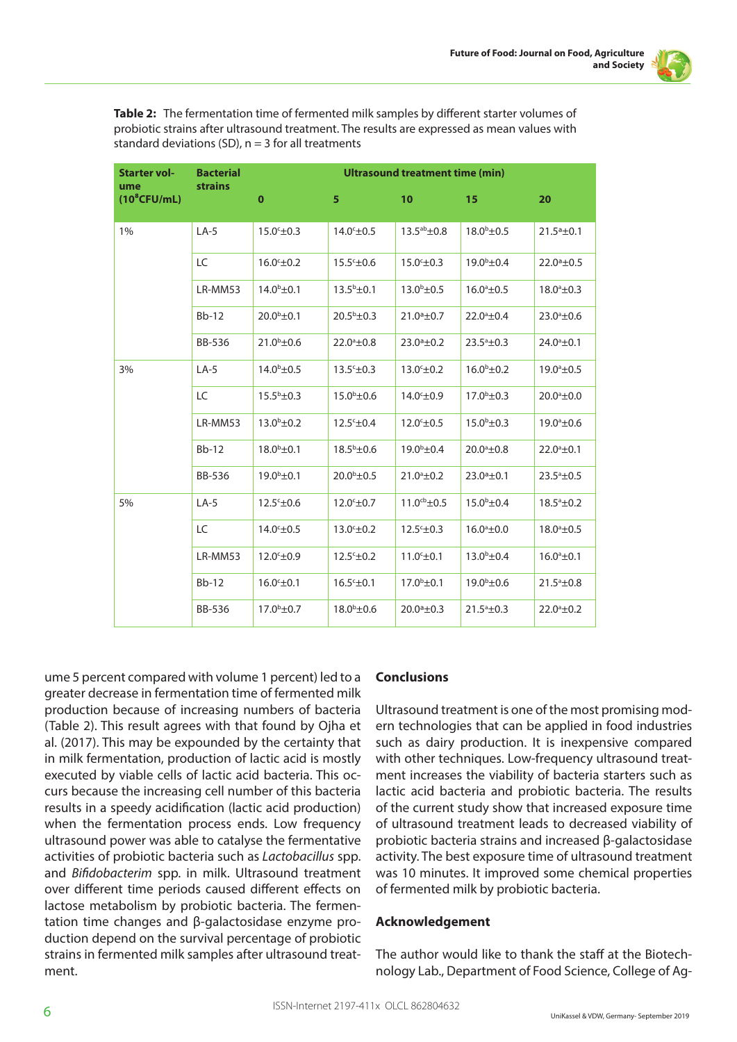

**Table 2:** The fermentation time of fermented milk samples by different starter volumes of probiotic strains after ultrasound treatment. The results are expressed as mean values with standard deviations (SD),  $n = 3$  for all treatments

| <b>Starter vol-</b><br>ume | <b>Bacterial</b><br><b>strains</b> | <b>Ultrasound treatment time (min)</b> |                        |                        |                        |                        |  |  |  |
|----------------------------|------------------------------------|----------------------------------------|------------------------|------------------------|------------------------|------------------------|--|--|--|
| $(10^8$ CFU/mL)            |                                    | $\mathbf 0$                            | 5                      | 10                     | 15                     | 20                     |  |  |  |
| 1%                         | $LA-5$                             | $15.0^{\circ} \pm 0.3$                 | $14.0^{\circ}$ ±0.5    | $13.5^{ab} \pm 0.8$    | $18.0^{b} \pm 0.5$     | $21.5a \pm 0.1$        |  |  |  |
|                            | LC                                 | $16.0° \pm 0.2$                        | $15.5^{\circ}$ ±0.6    | $15.0^{\circ}$ ±0.3    | $19.0^{\rm b}$ ±0.4    | $22.0^{\circ}$ ±0.5    |  |  |  |
|                            | LR-MM53                            | $14.0^{\rm b}$ ±0.1                    | $13.5^{\rm b} \pm 0.1$ | $13.0^{\rm b} \pm 0.5$ | $16.0^{\circ}$ ±0.5    | $18.0^{\circ}$ ±0.3    |  |  |  |
|                            | $Bb-12$                            | $20.0^{\rm b}$ ±0.1                    | $20.5^{\rm b}$ ±0.3    | $21.0a \pm 0.7$        | $22.0^{\circ}$ ±0.4    | $23.0^{\circ}$ ±0.6    |  |  |  |
|                            | <b>BB-536</b>                      | $21.0^{\circ}$ ±0.6                    | $22.0^{\circ}$ ±0.8    | $23.0a \pm 0.2$        | $23.5^{\circ} \pm 0.3$ | $24.0^{\circ}$ ±0.1    |  |  |  |
| 3%                         | $LA-5$                             | $14.0^{\rm b}$ ±0.5                    | $13.5^{\circ} \pm 0.3$ | $13.0° \pm 0.2$        | $16.0^{\rm b} \pm 0.2$ | $19.0^{\circ}$ ±0.5    |  |  |  |
|                            | LC                                 | $15.5^{\rm b}$ ± 0.3                   | $15.0^{\rm b}$ ±0.6    | $14.0^{\circ}$ ±0.9    | $17.0^{\rm b}$ ±0.3    | $20.0^{\circ}$ ±0.0    |  |  |  |
|                            | LR-MM53                            | $13.0^{\rm b} \pm 0.2$                 | $12.5^{\circ} \pm 0.4$ | $12.0° \pm 0.5$        | $15.0^{\rm b} \pm 0.3$ | $19.0^{\circ}$ ±0.6    |  |  |  |
|                            | $Bb-12$                            | $18.0^{b} \pm 0.1$                     | $18.5^{\rm b}$ ±0.6    | $19.0^{\rm b}$ ±0.4    | $20.0^{\circ}$ ±0.8    | $22.0^{\circ}$ ±0.1    |  |  |  |
|                            | <b>BB-536</b>                      | $19.0^{\rm b}$ ±0.1                    | $20.0^{\rm b} \pm 0.5$ | $21.0^{\circ} \pm 0.2$ | $23.0^a \pm 0.1$       | $23.5^{\circ} \pm 0.5$ |  |  |  |
| 5%                         | $LA-5$                             | $12.5^{\circ} \pm 0.6$                 | $12.0° \pm 0.7$        | $11.0^{cb}$ ±0.5       | $15.0^{\rm b}$ ±0.4    | $18.5^{\circ}$ ±0.2    |  |  |  |
|                            | LC                                 | $14.0° \pm 0.5$                        | $13.0° \pm 0.2$        | $12.5^{\circ} \pm 0.3$ | $16.0^{\circ}$ ±0.0    | $18.0^{\circ}$ ±0.5    |  |  |  |
|                            | LR-MM53                            | $12.0° \pm 0.9$                        | $12.5^{\circ} \pm 0.2$ | $11.0^{\circ}$ ±0.1    | $13.0^{\rm b} \pm 0.4$ | $16.0^{\circ}$ ±0.1    |  |  |  |
|                            | $Bb-12$                            | $16.0° \pm 0.1$                        | $16.5^{\circ}$ ±0.1    | $17.0^{b} \pm 0.1$     | $19.0^{\rm b} \pm 0.6$ | $21.5^{\circ}$ ±0.8    |  |  |  |
|                            | <b>BB-536</b>                      | $17.0^{\rm b} \pm 0.7$                 | $18.0^{b} \pm 0.6$     | $20.0^{\circ}$ ±0.3    | $21.5^{\circ} \pm 0.3$ | $22.0^{\circ} \pm 0.2$ |  |  |  |

ume 5 percent compared with volume 1 percent) led to a greater decrease in fermentation time of fermented milk production because of increasing numbers of bacteria (Table 2). This result agrees with that found by Ojha et al. (2017). This may be expounded by the certainty that in milk fermentation, production of lactic acid is mostly executed by viable cells of lactic acid bacteria. This occurs because the increasing cell number of this bacteria results in a speedy acidification (lactic acid production) when the fermentation process ends. Low frequency ultrasound power was able to catalyse the fermentative activities of probiotic bacteria such as *Lactobacillus* spp. and *Bifidobacterim* spp. in milk. Ultrasound treatment over different time periods caused different effects on lactose metabolism by probiotic bacteria. The fermentation time changes and β-galactosidase enzyme production depend on the survival percentage of probiotic strains in fermented milk samples after ultrasound treatment.

#### **Conclusions**

Ultrasound treatment is one of the most promising modern technologies that can be applied in food industries such as dairy production. It is inexpensive compared with other techniques. Low-frequency ultrasound treatment increases the viability of bacteria starters such as lactic acid bacteria and probiotic bacteria. The results of the current study show that increased exposure time of ultrasound treatment leads to decreased viability of probiotic bacteria strains and increased β-galactosidase activity. The best exposure time of ultrasound treatment was 10 minutes. It improved some chemical properties of fermented milk by probiotic bacteria.

#### **Acknowledgement**

The author would like to thank the staff at the Biotechnology Lab., Department of Food Science, College of Ag-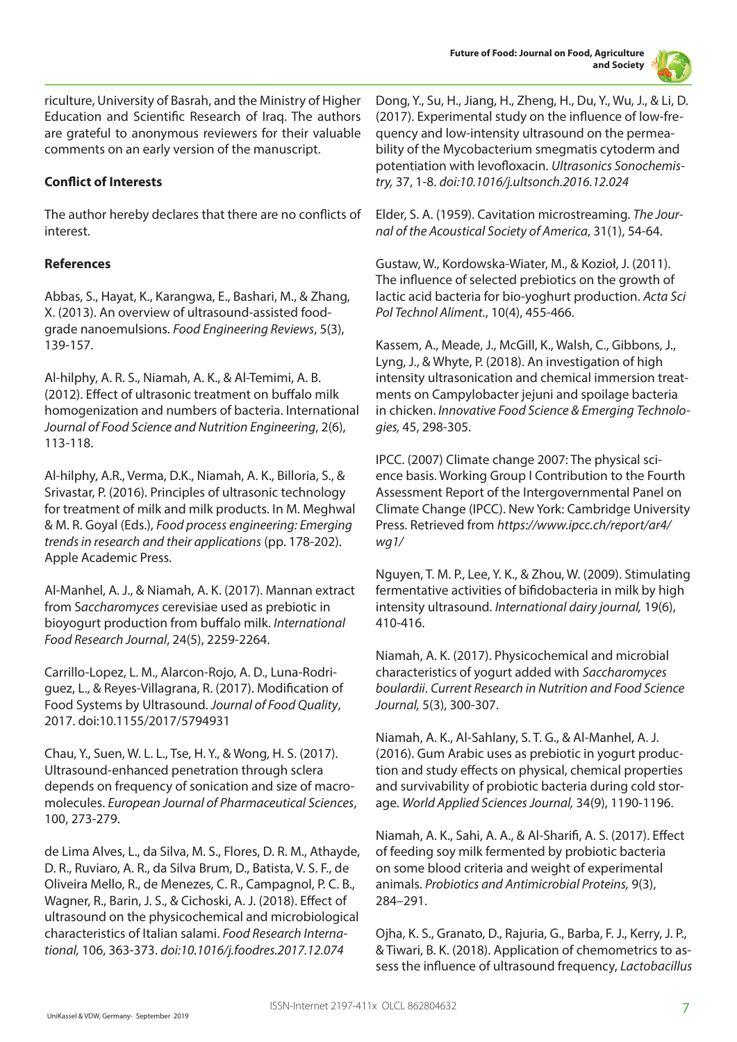

riculture, University of Basrah, and the Ministry of Higher Education and Scientific Research of Iraq. The authors are grateful to anonymous reviewers for their valuable comments on an early version of the manuscript.

# **Conflict of Interests**

The author hereby declares that there are no conflicts of interest.

# **References**

Abbas, S., Hayat, K., Karangwa, E., Bashari, M., & Zhang, X. (2013). An overview of ultrasound-assisted foodgrade nanoemulsions. *Food Engineering Reviews*, 5(3), 139-157.

Al-hilphy, A. R. S., Niamah, A. K., & Al-Temimi, A. B. (2012). Effect of ultrasonic treatment on buffalo milk homogenization and numbers of bacteria. International *Journal of Food Science and Nutrition Engineering*, 2(6), 113-118.

Al-hilphy, A.R., Verma, D.K., Niamah, A. K., Billoria, S., & Srivastar, P. (2016). Principles of ultrasonic technology for treatment of milk and milk products. In M. Meghwal & M. R. Goyal (Eds.), *Food process engineering: Emerging trends in research and their applications* (pp. 178-202). Apple Academic Press.

Al-Manhel, A. J., & Niamah, A. K. (2017). Mannan extract from S*accharomyces* cerevisiae used as prebiotic in bioyogurt production from buffalo milk. *International Food Research Journal*, 24(5), 2259-2264.

Carrillo-Lopez, L. M., Alarcon-Rojo, A. D., Luna-Rodriguez, L., & Reyes-Villagrana, R. (2017). Modification of Food Systems by Ultrasound. *Journal of Food Quality*, 2017. doi:10.1155/2017/5794931

Chau, Y., Suen, W. L. L., Tse, H. Y., & Wong, H. S. (2017). Ultrasound-enhanced penetration through sclera depends on frequency of sonication and size of macromolecules. *European Journal of Pharmaceutical Sciences*, 100, 273-279.

de Lima Alves, L., da Silva, M. S., Flores, D. R. M., Athayde, D. R., Ruviaro, A. R., da Silva Brum, D., Batista, V. S. F., de Oliveira Mello, R., de Menezes, C. R., Campagnol, P. C. B., Wagner, R., Barin, J. S., & Cichoski, A. J. (2018). Effect of ultrasound on the physicochemical and microbiological characteristics of Italian salami. *Food Research International,* 106, 363-373. *doi:10.1016/j.foodres.2017.12.074* 

Dong, Y., Su, H., Jiang, H., Zheng, H., Du, Y., Wu, J., & Li, D. (2017). Experimental study on the influence of low-frequency and low-intensity ultrasound on the permeability of the Mycobacterium smegmatis cytoderm and potentiation with levofloxacin. *Ultrasonics Sonochemistry,* 37, 1-8. *doi:10.1016/j.ultsonch.2016.12.024* 

Elder, S. A. (1959). Cavitation microstreaming. *The Journal of the Acoustical Society of America*, 31(1), 54-64.

Gustaw, W., Kordowska-Wiater, M., & Kozioł, J. (2011). The influence of selected prebiotics on the growth of lactic acid bacteria for bio-yoghurt production. *Acta Sci Pol Technol Aliment.*, 10(4), 455-466.

Kassem, A., Meade, J., McGill, K., Walsh, C., Gibbons, J., Lyng, J., & Whyte, P. (2018). An investigation of high intensity ultrasonication and chemical immersion treatments on Campylobacter jejuni and spoilage bacteria in chicken. *Innovative Food Science & Emerging Technologies,* 45, 298-305.

IPCC. (2007) Climate change 2007: The physical science basis. Working Group I Contribution to the Fourth Assessment Report of the Intergovernmental Panel on Climate Change (IPCC). New York: Cambridge University Press. Retrieved from *https://www.ipcc.ch/report/ar4/ wg1/*

Nguyen, T. M. P., Lee, Y. K., & Zhou, W. (2009). Stimulating fermentative activities of bifidobacteria in milk by high intensity ultrasound. *International dairy journal,* 19(6), 410-416.

Niamah, A. K. (2017). Physicochemical and microbial characteristics of yogurt added with *Saccharomyces boulardii*. *Current Research in Nutrition and Food Science Journal,* 5(3), 300-307.

Niamah, A. K., Al-Sahlany, S. T. G., & Al-Manhel, A. J. (2016). Gum Arabic uses as prebiotic in yogurt production and study effects on physical, chemical properties and survivability of probiotic bacteria during cold storage. *World Applied Sciences Journal,* 34(9), 1190-1196.

Niamah, A. K., Sahi, A. A., & Al-Sharifi, A. S. (2017). Effect of feeding soy milk fermented by probiotic bacteria on some blood criteria and weight of experimental animals. *Probiotics and Antimicrobial Proteins,* 9(3), 284–291.

Ojha, K. S., Granato, D., Rajuria, G., Barba, F. J., Kerry, J. P., & Tiwari, B. K. (2018). Application of chemometrics to assess the influence of ultrasound frequency, *Lactobacillus*